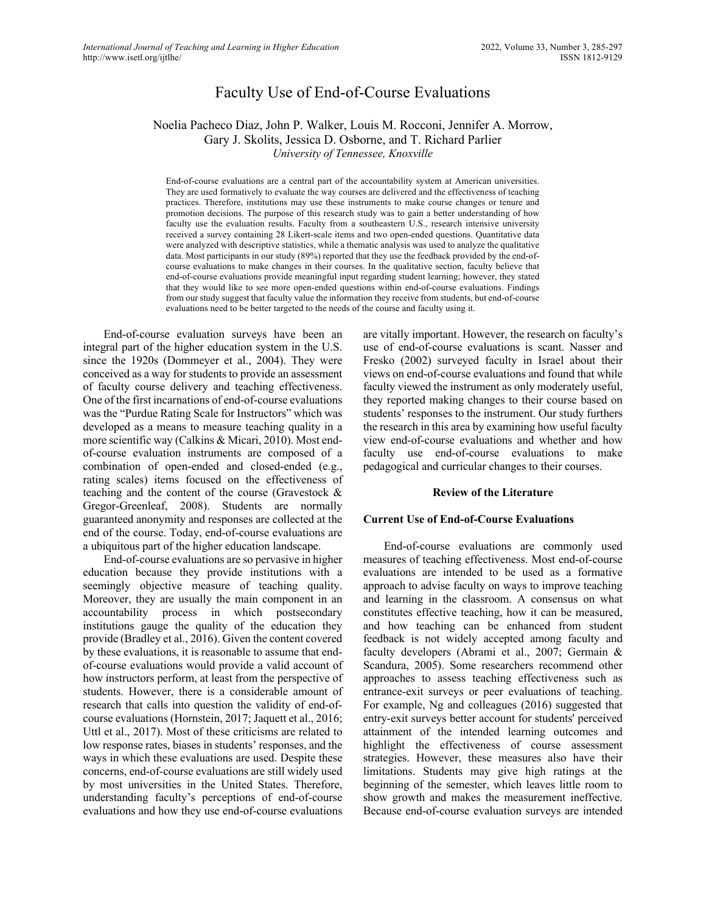# Faculty Use of End-of-Course Evaluations

# Noelia Pacheco Diaz, John P. Walker, Louis M. Rocconi, Jennifer A. Morrow, Gary J. Skolits, Jessica D. Osborne, and T. Richard Parlier *University of Tennessee, Knoxville*

End-of-course evaluations are a central part of the accountability system at American universities. They are used formatively to evaluate the way courses are delivered and the effectiveness of teaching practices. Therefore, institutions may use these instruments to make course changes or tenure and promotion decisions. The purpose of this research study was to gain a better understanding of how faculty use the evaluation results. Faculty from a southeastern U.S., research intensive university received a survey containing 28 Likert-scale items and two open-ended questions. Quantitative data were analyzed with descriptive statistics, while a thematic analysis was used to analyze the qualitative data. Most participants in our study (89%) reported that they use the feedback provided by the end-ofcourse evaluations to make changes in their courses. In the qualitative section, faculty believe that end-of-course evaluations provide meaningful input regarding student learning; however, they stated that they would like to see more open-ended questions within end-of-course evaluations. Findings from our study suggest that faculty value the information they receive from students, but end-of-course evaluations need to be better targeted to the needs of the course and faculty using it.

End-of-course evaluation surveys have been an integral part of the higher education system in the U.S. since the 1920s (Dommeyer et al., 2004). They were conceived as a way for students to provide an assessment of faculty course delivery and teaching effectiveness. One of the first incarnations of end-of-course evaluations was the "Purdue Rating Scale for Instructors" which was developed as a means to measure teaching quality in a more scientific way (Calkins & Micari, 2010). Most endof-course evaluation instruments are composed of a combination of open-ended and closed-ended (e.g., rating scales) items focused on the effectiveness of teaching and the content of the course (Gravestock & Gregor-Greenleaf, 2008). Students are normally guaranteed anonymity and responses are collected at the end of the course. Today, end-of-course evaluations are a ubiquitous part of the higher education landscape.

End-of-course evaluations are so pervasive in higher education because they provide institutions with a seemingly objective measure of teaching quality. Moreover, they are usually the main component in an accountability process in which postsecondary institutions gauge the quality of the education they provide (Bradley et al., 2016). Given the content covered by these evaluations, it is reasonable to assume that endof-course evaluations would provide a valid account of how instructors perform, at least from the perspective of students. However, there is a considerable amount of research that calls into question the validity of end-ofcourse evaluations (Hornstein, 2017; Jaquett et al., 2016; Uttl et al., 2017). Most of these criticisms are related to low response rates, biases in students' responses, and the ways in which these evaluations are used. Despite these concerns, end-of-course evaluations are still widely used by most universities in the United States. Therefore, understanding faculty's perceptions of end-of-course evaluations and how they use end-of-course evaluations

are vitally important. However, the research on faculty's use of end-of-course evaluations is scant. Nasser and Fresko (2002) surveyed faculty in Israel about their views on end-of-course evaluations and found that while faculty viewed the instrument as only moderately useful, they reported making changes to their course based on students' responses to the instrument. Our study furthers the research in this area by examining how useful faculty view end-of-course evaluations and whether and how faculty use end-of-course evaluations to make pedagogical and curricular changes to their courses.

#### **Review of the Literature**

### **Current Use of End-of-Course Evaluations**

End-of-course evaluations are commonly used measures of teaching effectiveness. Most end-of-course evaluations are intended to be used as a formative approach to advise faculty on ways to improve teaching and learning in the classroom. A consensus on what constitutes effective teaching, how it can be measured, and how teaching can be enhanced from student feedback is not widely accepted among faculty and faculty developers (Abrami et al., 2007; Germain & Scandura, 2005). Some researchers recommend other approaches to assess teaching effectiveness such as entrance-exit surveys or peer evaluations of teaching. For example, Ng and colleagues (2016) suggested that entry-exit surveys better account for students' perceived attainment of the intended learning outcomes and highlight the effectiveness of course assessment strategies. However, these measures also have their limitations. Students may give high ratings at the beginning of the semester, which leaves little room to show growth and makes the measurement ineffective. Because end-of-course evaluation surveys are intended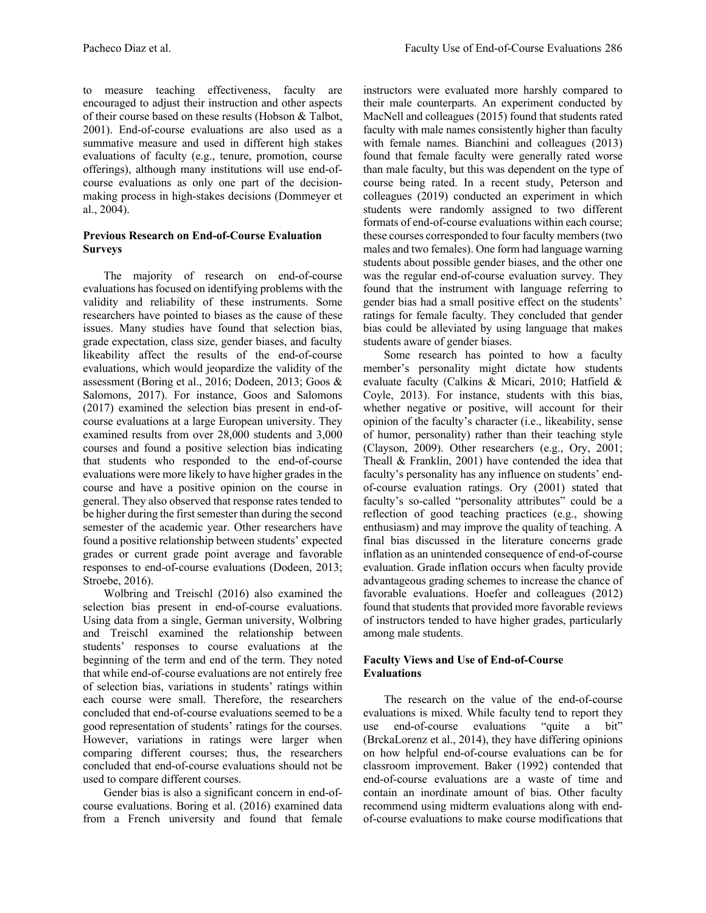to measure teaching effectiveness, faculty are encouraged to adjust their instruction and other aspects of their course based on these results (Hobson & Talbot, 2001). End-of-course evaluations are also used as a summative measure and used in different high stakes evaluations of faculty (e.g., tenure, promotion, course offerings), although many institutions will use end-ofcourse evaluations as only one part of the decisionmaking process in high-stakes decisions (Dommeyer et al., 2004).

# **Previous Research on End-of-Course Evaluation Surveys**

The majority of research on end-of-course evaluations has focused on identifying problems with the validity and reliability of these instruments. Some researchers have pointed to biases as the cause of these issues. Many studies have found that selection bias, grade expectation, class size, gender biases, and faculty likeability affect the results of the end-of-course evaluations, which would jeopardize the validity of the assessment (Boring et al., 2016; Dodeen, 2013; Goos & Salomons, 2017). For instance, Goos and Salomons (2017) examined the selection bias present in end-ofcourse evaluations at a large European university. They examined results from over 28,000 students and 3,000 courses and found a positive selection bias indicating that students who responded to the end-of-course evaluations were more likely to have higher grades in the course and have a positive opinion on the course in general. They also observed that response rates tended to be higher during the first semester than during the second semester of the academic year. Other researchers have found a positive relationship between students' expected grades or current grade point average and favorable responses to end-of-course evaluations (Dodeen, 2013; Stroebe, 2016).

Wolbring and Treischl (2016) also examined the selection bias present in end-of-course evaluations. Using data from a single, German university, Wolbring and Treischl examined the relationship between students' responses to course evaluations at the beginning of the term and end of the term. They noted that while end-of-course evaluations are not entirely free of selection bias, variations in students' ratings within each course were small. Therefore, the researchers concluded that end-of-course evaluations seemed to be a good representation of students' ratings for the courses. However, variations in ratings were larger when comparing different courses; thus, the researchers concluded that end-of-course evaluations should not be used to compare different courses.

Gender bias is also a significant concern in end-ofcourse evaluations. Boring et al. (2016) examined data from a French university and found that female instructors were evaluated more harshly compared to their male counterparts. An experiment conducted by MacNell and colleagues (2015) found that students rated faculty with male names consistently higher than faculty with female names. Bianchini and colleagues (2013) found that female faculty were generally rated worse than male faculty, but this was dependent on the type of course being rated. In a recent study, Peterson and colleagues (2019) conducted an experiment in which students were randomly assigned to two different formats of end-of-course evaluations within each course; these courses corresponded to four faculty members (two males and two females). One form had language warning students about possible gender biases, and the other one was the regular end-of-course evaluation survey. They found that the instrument with language referring to gender bias had a small positive effect on the students' ratings for female faculty. They concluded that gender bias could be alleviated by using language that makes students aware of gender biases.

Some research has pointed to how a faculty member's personality might dictate how students evaluate faculty (Calkins & Micari, 2010; Hatfield & Coyle, 2013). For instance, students with this bias, whether negative or positive, will account for their opinion of the faculty's character (i.e., likeability, sense of humor, personality) rather than their teaching style (Clayson, 2009). Other researchers (e.g., Ory, 2001; Theall & Franklin, 2001) have contended the idea that faculty's personality has any influence on students' endof-course evaluation ratings. Ory (2001) stated that faculty's so-called "personality attributes" could be a reflection of good teaching practices (e.g., showing enthusiasm) and may improve the quality of teaching. A final bias discussed in the literature concerns grade inflation as an unintended consequence of end-of-course evaluation. Grade inflation occurs when faculty provide advantageous grading schemes to increase the chance of favorable evaluations. Hoefer and colleagues (2012) found that students that provided more favorable reviews of instructors tended to have higher grades, particularly among male students.

# **Faculty Views and Use of End-of-Course Evaluations**

The research on the value of the end-of-course evaluations is mixed. While faculty tend to report they use end-of-course evaluations "quite a bit" (BrckaLorenz et al., 2014), they have differing opinions on how helpful end-of-course evaluations can be for classroom improvement. Baker (1992) contended that end-of-course evaluations are a waste of time and contain an inordinate amount of bias. Other faculty recommend using midterm evaluations along with endof-course evaluations to make course modifications that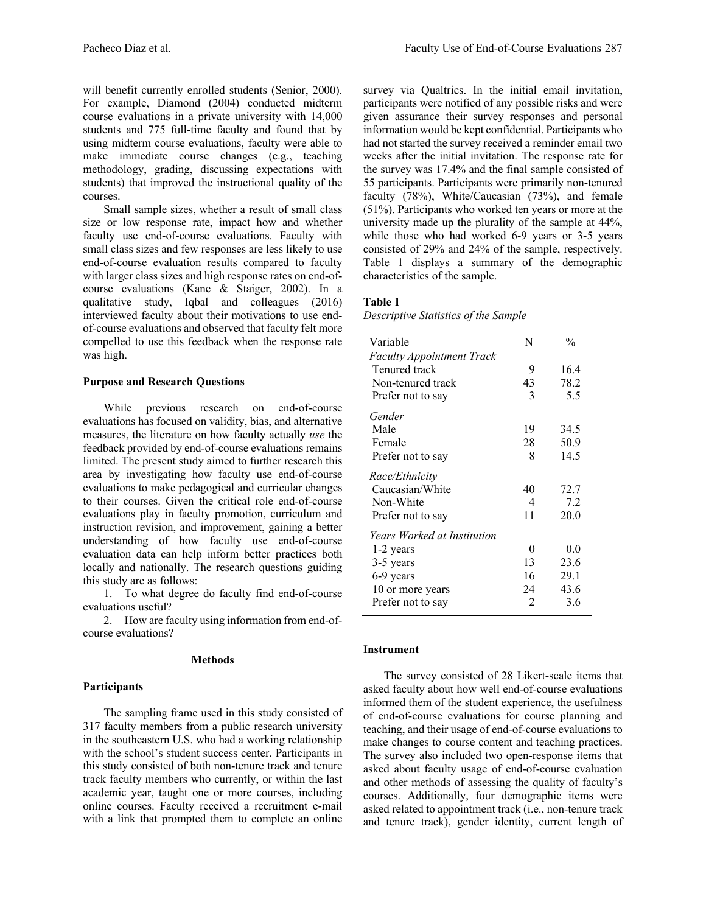will benefit currently enrolled students (Senior, 2000). For example, Diamond (2004) conducted midterm course evaluations in a private university with 14,000 students and 775 full-time faculty and found that by using midterm course evaluations, faculty were able to make immediate course changes (e.g., teaching methodology, grading, discussing expectations with students) that improved the instructional quality of the courses.

Small sample sizes, whether a result of small class size or low response rate, impact how and whether faculty use end-of-course evaluations. Faculty with small class sizes and few responses are less likely to use end-of-course evaluation results compared to faculty with larger class sizes and high response rates on end-ofcourse evaluations (Kane & Staiger, 2002). In a qualitative study, Iqbal and colleagues (2016) interviewed faculty about their motivations to use endof-course evaluations and observed that faculty felt more compelled to use this feedback when the response rate was high.

### **Purpose and Research Questions**

While previous research on end-of-course evaluations has focused on validity, bias, and alternative measures, the literature on how faculty actually *use* the feedback provided by end-of-course evaluations remains limited. The present study aimed to further research this area by investigating how faculty use end-of-course evaluations to make pedagogical and curricular changes to their courses. Given the critical role end-of-course evaluations play in faculty promotion, curriculum and instruction revision, and improvement, gaining a better understanding of how faculty use end-of-course evaluation data can help inform better practices both locally and nationally. The research questions guiding this study are as follows:

1. To what degree do faculty find end-of-course evaluations useful?

2. How are faculty using information from end-ofcourse evaluations?

#### **Methods**

#### **Participants**

The sampling frame used in this study consisted of 317 faculty members from a public research university in the southeastern U.S. who had a working relationship with the school's student success center. Participants in this study consisted of both non-tenure track and tenure track faculty members who currently, or within the last academic year, taught one or more courses, including online courses. Faculty received a recruitment e-mail with a link that prompted them to complete an online

survey via Qualtrics. In the initial email invitation, participants were notified of any possible risks and were given assurance their survey responses and personal information would be kept confidential. Participants who had not started the survey received a reminder email two weeks after the initial invitation. The response rate for the survey was 17.4% and the final sample consisted of 55 participants. Participants were primarily non-tenured faculty (78%), White/Caucasian (73%), and female (51%). Participants who worked ten years or more at the university made up the plurality of the sample at 44%, while those who had worked 6-9 years or 3-5 years consisted of 29% and 24% of the sample, respectively. Table 1 displays a summary of the demographic characteristics of the sample.

### **Table 1**

*Descriptive Statistics of the Sample*

| Variable                           | N              | $\frac{0}{0}$ |
|------------------------------------|----------------|---------------|
| <b>Faculty Appointment Track</b>   |                |               |
| Tenured track                      | 9              | 16.4          |
| Non-tenured track                  | 43             | 78.2          |
| Prefer not to say                  | 3              | 5.5           |
| Gender                             |                |               |
| Male                               | 19             | 34.5          |
| Female                             | 28             | 50.9          |
| Prefer not to say                  | 8              | 14.5          |
| Race/Ethnicity                     |                |               |
| Caucasian/White                    | 40             | 72.7          |
| Non-White                          | 4              | 7.2           |
| Prefer not to say                  | 11             | 20.0          |
| <i>Years Worked at Institution</i> |                |               |
| 1-2 years                          | 0              | 0.0           |
| 3-5 years                          | 13             | 23.6          |
| 6-9 years                          | 16             | 29.1          |
| 10 or more years                   | 24             | 43.6          |
| Prefer not to say                  | $\mathfrak{D}$ | 3.6           |
|                                    |                |               |

### **Instrument**

The survey consisted of 28 Likert-scale items that asked faculty about how well end-of-course evaluations informed them of the student experience, the usefulness of end-of-course evaluations for course planning and teaching, and their usage of end-of-course evaluations to make changes to course content and teaching practices. The survey also included two open-response items that asked about faculty usage of end-of-course evaluation and other methods of assessing the quality of faculty's courses. Additionally, four demographic items were asked related to appointment track (i.e., non-tenure track and tenure track), gender identity, current length of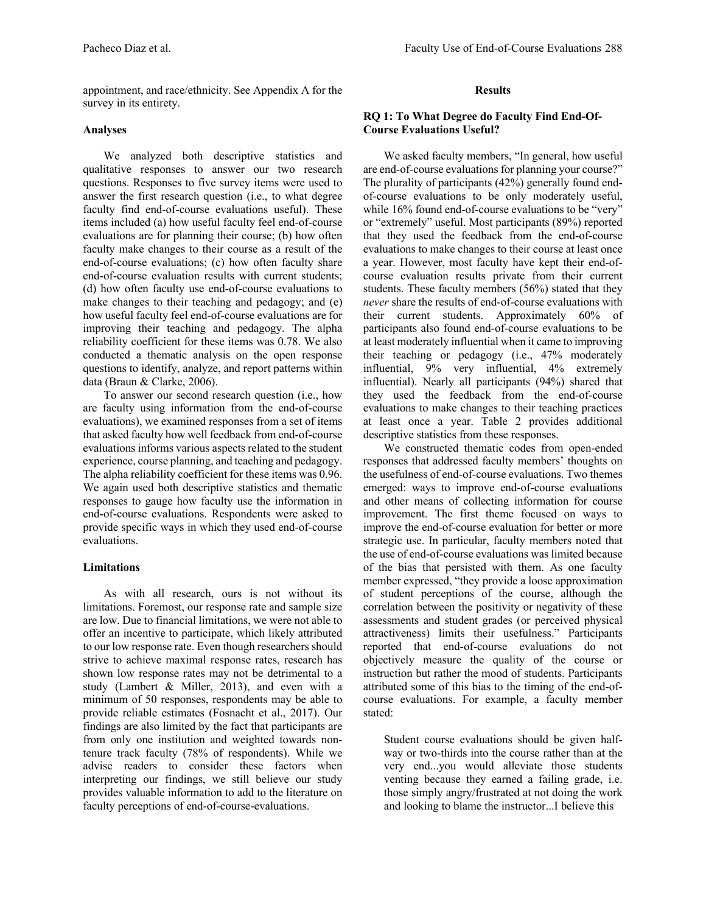appointment, and race/ethnicity. See Appendix A for the survey in its entirety.

# **Analyses**

We analyzed both descriptive statistics and qualitative responses to answer our two research questions. Responses to five survey items were used to answer the first research question (i.e., to what degree faculty find end-of-course evaluations useful). These items included (a) how useful faculty feel end-of-course evaluations are for planning their course; (b) how often faculty make changes to their course as a result of the end-of-course evaluations; (c) how often faculty share end-of-course evaluation results with current students; (d) how often faculty use end-of-course evaluations to make changes to their teaching and pedagogy; and (e) how useful faculty feel end-of-course evaluations are for improving their teaching and pedagogy. The alpha reliability coefficient for these items was 0.78. We also conducted a thematic analysis on the open response questions to identify, analyze, and report patterns within data (Braun & Clarke, 2006).

To answer our second research question (i.e., how are faculty using information from the end-of-course evaluations), we examined responses from a set of items that asked faculty how well feedback from end-of-course evaluations informs various aspects related to the student experience, course planning, and teaching and pedagogy. The alpha reliability coefficient for these items was 0.96. We again used both descriptive statistics and thematic responses to gauge how faculty use the information in end-of-course evaluations. Respondents were asked to provide specific ways in which they used end-of-course evaluations.

# **Limitations**

As with all research, ours is not without its limitations. Foremost, our response rate and sample size are low. Due to financial limitations, we were not able to offer an incentive to participate, which likely attributed to our low response rate. Even though researchers should strive to achieve maximal response rates, research has shown low response rates may not be detrimental to a study (Lambert & Miller, 2013), and even with a minimum of 50 responses, respondents may be able to provide reliable estimates (Fosnacht et al., 2017). Our findings are also limited by the fact that participants are from only one institution and weighted towards nontenure track faculty (78% of respondents). While we advise readers to consider these factors when interpreting our findings, we still believe our study provides valuable information to add to the literature on faculty perceptions of end-of-course-evaluations.

# **Results**

# **RQ 1: To What Degree do Faculty Find End-Of-Course Evaluations Useful?**

We asked faculty members, "In general, how useful are end-of-course evaluations for planning your course?" The plurality of participants (42%) generally found endof-course evaluations to be only moderately useful, while 16% found end-of-course evaluations to be "very" or "extremely" useful. Most participants (89%) reported that they used the feedback from the end-of-course evaluations to make changes to their course at least once a year. However, most faculty have kept their end-ofcourse evaluation results private from their current students. These faculty members (56%) stated that they *never* share the results of end-of-course evaluations with their current students. Approximately 60% of participants also found end-of-course evaluations to be at least moderately influential when it came to improving their teaching or pedagogy (i.e., 47% moderately influential, 9% very influential, 4% extremely influential). Nearly all participants (94%) shared that they used the feedback from the end-of-course evaluations to make changes to their teaching practices at least once a year. Table 2 provides additional descriptive statistics from these responses.

We constructed thematic codes from open-ended responses that addressed faculty members' thoughts on the usefulness of end-of-course evaluations. Two themes emerged: ways to improve end-of-course evaluations and other means of collecting information for course improvement. The first theme focused on ways to improve the end-of-course evaluation for better or more strategic use. In particular, faculty members noted that the use of end-of-course evaluations was limited because of the bias that persisted with them. As one faculty member expressed, "they provide a loose approximation of student perceptions of the course, although the correlation between the positivity or negativity of these assessments and student grades (or perceived physical attractiveness) limits their usefulness." Participants reported that end-of-course evaluations do not objectively measure the quality of the course or instruction but rather the mood of students. Participants attributed some of this bias to the timing of the end-ofcourse evaluations. For example, a faculty member stated:

Student course evaluations should be given halfway or two-thirds into the course rather than at the very end...you would alleviate those students venting because they earned a failing grade, i.e. those simply angry/frustrated at not doing the work and looking to blame the instructor...I believe this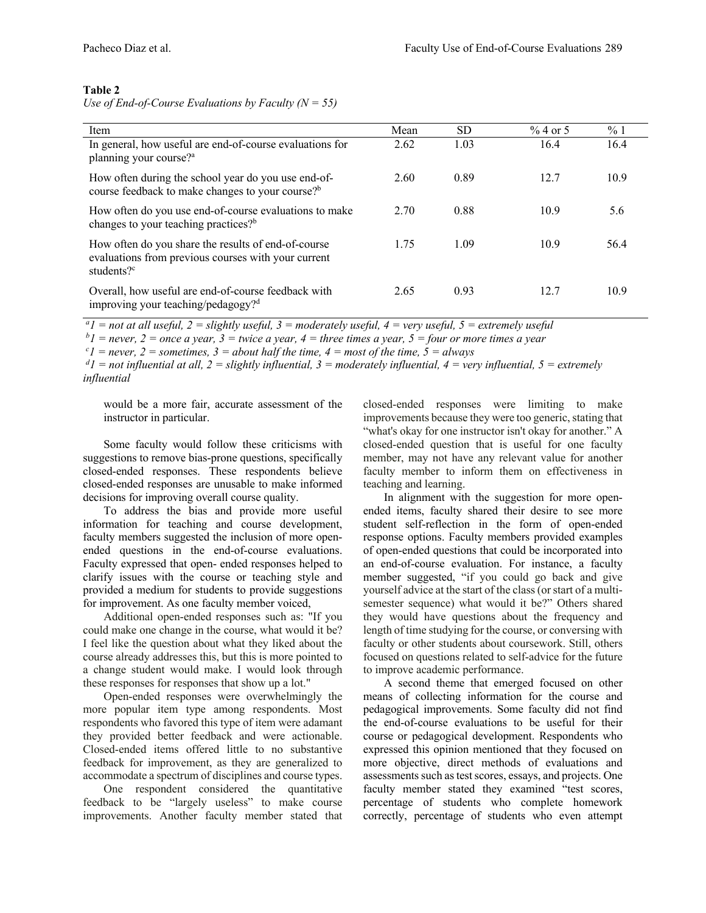# **Table 2**

*Use of End-of-Course Evaluations by Faculty (N = 55)*

| Item                                                                                                                                 | Mean | <b>SD</b> | $%4$ or 5 | %1   |
|--------------------------------------------------------------------------------------------------------------------------------------|------|-----------|-----------|------|
| In general, how useful are end-of-course evaluations for<br>planning your course? <sup>a</sup>                                       | 2.62 | 1.03      | 16.4      | 16.4 |
| How often during the school year do you use end-of-<br>course feedback to make changes to your course? <sup>b</sup>                  | 2.60 | 0.89      | 12.7      | 10.9 |
| How often do you use end-of-course evaluations to make<br>changes to your teaching practices? <sup>b</sup>                           | 2.70 | 0.88      | 10.9      | 5.6  |
| How often do you share the results of end-of-course<br>evaluations from previous courses with your current<br>students? <sup>c</sup> | 1.75 | 1.09      | 10.9      | 56.4 |
| Overall, how useful are end-of-course feedback with<br>improving your teaching/pedagogy? <sup>d</sup>                                | 2.65 | 0.93      | 12.7      | 10.9 |

*a 1 = not at all useful, 2 = slightly useful, 3 = moderately useful, 4 = very useful, 5 = extremely useful*

 $bI$  = never, 2 = once a year, 3 = twice a year, 4 = three times a year, 5 = four or more times a year

 $c_1$  = never, 2 = sometimes, 3 = about half the time, 4 = most of the time, 5 = always

 $dI =$  not influential at all,  $2 =$  slightly influential,  $3 =$  moderately influential,  $4 =$  very influential,  $5 =$  extremely *influential*

would be a more fair, accurate assessment of the instructor in particular.

Some faculty would follow these criticisms with suggestions to remove bias-prone questions, specifically closed-ended responses. These respondents believe closed-ended responses are unusable to make informed decisions for improving overall course quality.

To address the bias and provide more useful information for teaching and course development, faculty members suggested the inclusion of more openended questions in the end-of-course evaluations. Faculty expressed that open- ended responses helped to clarify issues with the course or teaching style and provided a medium for students to provide suggestions for improvement. As one faculty member voiced,

Additional open-ended responses such as: "If you could make one change in the course, what would it be? I feel like the question about what they liked about the course already addresses this, but this is more pointed to a change student would make. I would look through these responses for responses that show up a lot."

Open-ended responses were overwhelmingly the more popular item type among respondents. Most respondents who favored this type of item were adamant they provided better feedback and were actionable. Closed-ended items offered little to no substantive feedback for improvement, as they are generalized to accommodate a spectrum of disciplines and course types.

One respondent considered the quantitative feedback to be "largely useless" to make course improvements. Another faculty member stated that closed-ended responses were limiting to make improvements because they were too generic, stating that "what's okay for one instructor isn't okay for another." A closed-ended question that is useful for one faculty member, may not have any relevant value for another faculty member to inform them on effectiveness in teaching and learning.

In alignment with the suggestion for more openended items, faculty shared their desire to see more student self-reflection in the form of open-ended response options. Faculty members provided examples of open-ended questions that could be incorporated into an end-of-course evaluation. For instance, a faculty member suggested, "if you could go back and give yourself advice at the start of the class (or start of a multisemester sequence) what would it be?" Others shared they would have questions about the frequency and length of time studying for the course, or conversing with faculty or other students about coursework. Still, others focused on questions related to self-advice for the future to improve academic performance.

A second theme that emerged focused on other means of collecting information for the course and pedagogical improvements. Some faculty did not find the end-of-course evaluations to be useful for their course or pedagogical development. Respondents who expressed this opinion mentioned that they focused on more objective, direct methods of evaluations and assessments such as test scores, essays, and projects. One faculty member stated they examined "test scores, percentage of students who complete homework correctly, percentage of students who even attempt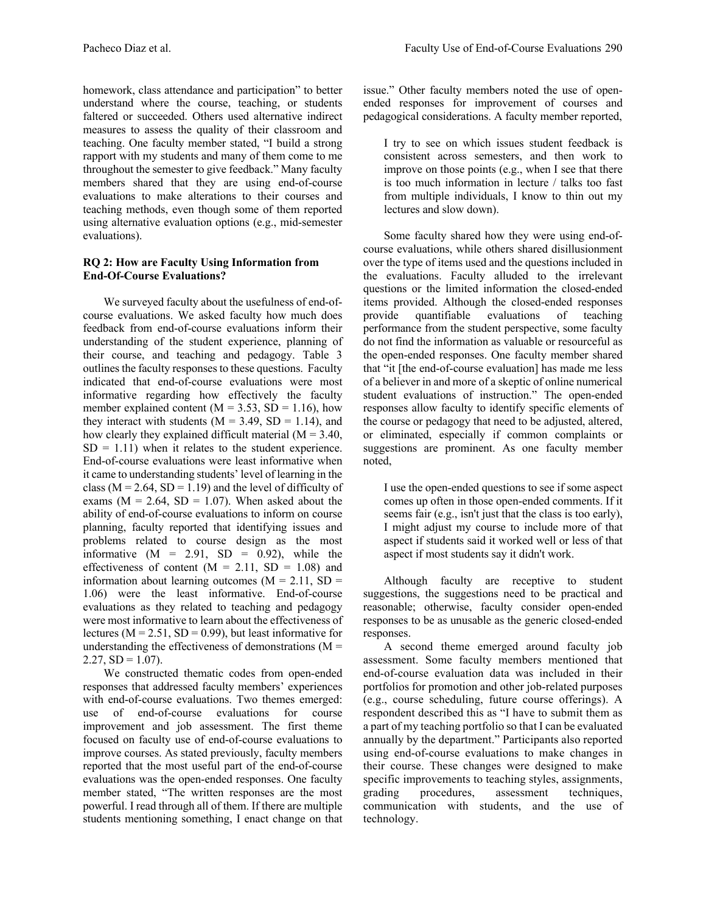homework, class attendance and participation" to better understand where the course, teaching, or students faltered or succeeded. Others used alternative indirect measures to assess the quality of their classroom and teaching. One faculty member stated, "I build a strong rapport with my students and many of them come to me throughout the semester to give feedback." Many faculty members shared that they are using end-of-course evaluations to make alterations to their courses and teaching methods, even though some of them reported using alternative evaluation options (e.g., mid-semester evaluations).

# **RQ 2: How are Faculty Using Information from End-Of-Course Evaluations?**

We surveyed faculty about the usefulness of end-ofcourse evaluations. We asked faculty how much does feedback from end-of-course evaluations inform their understanding of the student experience, planning of their course, and teaching and pedagogy. Table 3 outlines the faculty responses to these questions. Faculty indicated that end-of-course evaluations were most informative regarding how effectively the faculty member explained content ( $M = 3.53$ ,  $SD = 1.16$ ), how they interact with students ( $M = 3.49$ ,  $SD = 1.14$ ), and how clearly they explained difficult material  $(M = 3.40,$  $SD = 1.11$ ) when it relates to the student experience. End-of-course evaluations were least informative when it came to understanding students' level of learning in the class ( $M = 2.64$ ,  $SD = 1.19$ ) and the level of difficulty of exams ( $M = 2.64$ ,  $SD = 1.07$ ). When asked about the ability of end-of-course evaluations to inform on course planning, faculty reported that identifying issues and problems related to course design as the most informative  $(M = 2.91, SD = 0.92)$ , while the effectiveness of content  $(M = 2.11, SD = 1.08)$  and information about learning outcomes ( $M = 2.11$ , SD = 1.06) were the least informative. End-of-course evaluations as they related to teaching and pedagogy were most informative to learn about the effectiveness of lectures ( $M = 2.51$ ,  $SD = 0.99$ ), but least informative for understanding the effectiveness of demonstrations  $(M =$  $2.27, SD = 1.07$ ).

We constructed thematic codes from open-ended responses that addressed faculty members' experiences with end-of-course evaluations. Two themes emerged: use of end-of-course evaluations for course improvement and job assessment. The first theme focused on faculty use of end-of-course evaluations to improve courses. As stated previously, faculty members reported that the most useful part of the end-of-course evaluations was the open-ended responses. One faculty member stated, "The written responses are the most powerful. I read through all of them. If there are multiple students mentioning something, I enact change on that issue." Other faculty members noted the use of openended responses for improvement of courses and pedagogical considerations. A faculty member reported,

I try to see on which issues student feedback is consistent across semesters, and then work to improve on those points (e.g., when I see that there is too much information in lecture / talks too fast from multiple individuals, I know to thin out my lectures and slow down).

Some faculty shared how they were using end-ofcourse evaluations, while others shared disillusionment over the type of items used and the questions included in the evaluations. Faculty alluded to the irrelevant questions or the limited information the closed-ended items provided. Although the closed-ended responses provide quantifiable evaluations of teaching performance from the student perspective, some faculty do not find the information as valuable or resourceful as the open-ended responses. One faculty member shared that "it [the end-of-course evaluation] has made me less of a believer in and more of a skeptic of online numerical student evaluations of instruction." The open-ended responses allow faculty to identify specific elements of the course or pedagogy that need to be adjusted, altered, or eliminated, especially if common complaints or suggestions are prominent. As one faculty member noted,

I use the open-ended questions to see if some aspect comes up often in those open-ended comments. If it seems fair (e.g., isn't just that the class is too early), I might adjust my course to include more of that aspect if students said it worked well or less of that aspect if most students say it didn't work.

Although faculty are receptive to student suggestions, the suggestions need to be practical and reasonable; otherwise, faculty consider open-ended responses to be as unusable as the generic closed-ended responses.

A second theme emerged around faculty job assessment. Some faculty members mentioned that end-of-course evaluation data was included in their portfolios for promotion and other job-related purposes (e.g., course scheduling, future course offerings). A respondent described this as "I have to submit them as a part of my teaching portfolio so that I can be evaluated annually by the department." Participants also reported using end-of-course evaluations to make changes in their course. These changes were designed to make specific improvements to teaching styles, assignments, grading procedures, assessment techniques, communication with students, and the use of technology.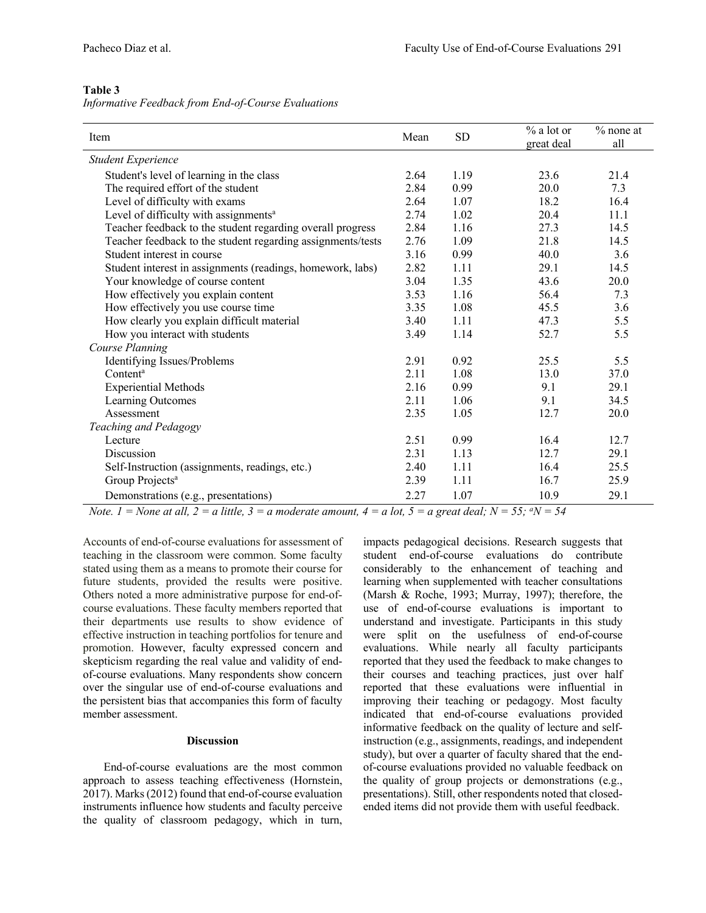### **Table 3**

|  | Informative Feedback from End-of-Course Evaluations |  |
|--|-----------------------------------------------------|--|
|  |                                                     |  |

| Item                                                        | Mean | <b>SD</b> | % a lot or<br>great deal | $%$ none at<br>all |
|-------------------------------------------------------------|------|-----------|--------------------------|--------------------|
| <b>Student Experience</b>                                   |      |           |                          |                    |
| Student's level of learning in the class                    | 2.64 | 1.19      | 23.6                     | 21.4               |
| The required effort of the student                          | 2.84 | 0.99      | 20.0                     | 7.3                |
| Level of difficulty with exams                              | 2.64 | 1.07      | 18.2                     | 16.4               |
| Level of difficulty with assignments <sup>a</sup>           | 2.74 | 1.02      | 20.4                     | 11.1               |
| Teacher feedback to the student regarding overall progress  | 2.84 | 1.16      | 27.3                     | 14.5               |
| Teacher feedback to the student regarding assignments/tests | 2.76 | 1.09      | 21.8                     | 14.5               |
| Student interest in course                                  | 3.16 | 0.99      | 40.0                     | 3.6                |
| Student interest in assignments (readings, homework, labs)  | 2.82 | 1.11      | 29.1                     | 14.5               |
| Your knowledge of course content                            | 3.04 | 1.35      | 43.6                     | 20.0               |
| How effectively you explain content                         | 3.53 | 1.16      | 56.4                     | 7.3                |
| How effectively you use course time                         | 3.35 | 1.08      | 45.5                     | 3.6                |
| How clearly you explain difficult material                  | 3.40 | 1.11      | 47.3                     | 5.5                |
| How you interact with students                              | 3.49 | 1.14      | 52.7                     | 5.5                |
| Course Planning                                             |      |           |                          |                    |
| Identifying Issues/Problems                                 | 2.91 | 0.92      | 25.5                     | 5.5                |
| Content <sup>a</sup>                                        | 2.11 | 1.08      | 13.0                     | 37.0               |
| <b>Experiential Methods</b>                                 | 2.16 | 0.99      | 9.1                      | 29.1               |
| Learning Outcomes                                           | 2.11 | 1.06      | 9.1                      | 34.5               |
| Assessment                                                  | 2.35 | 1.05      | 12.7                     | 20.0               |
| Teaching and Pedagogy                                       |      |           |                          |                    |
| Lecture                                                     | 2.51 | 0.99      | 16.4                     | 12.7               |
| Discussion                                                  | 2.31 | 1.13      | 12.7                     | 29.1               |
| Self-Instruction (assignments, readings, etc.)              | 2.40 | 1.11      | 16.4                     | 25.5               |
| Group Projects <sup>a</sup>                                 | 2.39 | 1.11      | 16.7                     | 25.9               |
| Demonstrations (e.g., presentations)                        | 2.27 | 1.07      | 10.9                     | 29.1               |

*Note.*  $1 =$  *None at all,*  $2 = a$  *little,*  $3 = a$  *moderate amount,*  $4 = a$  *lot,*  $5 = a$  *great deal;*  $N = 55$ *;*  ${}^aN = 54$ 

Accounts of end-of-course evaluations for assessment of teaching in the classroom were common. Some faculty stated using them as a means to promote their course for future students, provided the results were positive. Others noted a more administrative purpose for end-ofcourse evaluations. These faculty members reported that their departments use results to show evidence of effective instruction in teaching portfolios for tenure and promotion. However, faculty expressed concern and skepticism regarding the real value and validity of endof-course evaluations. Many respondents show concern over the singular use of end-of-course evaluations and the persistent bias that accompanies this form of faculty member assessment.

### **Discussion**

End-of-course evaluations are the most common approach to assess teaching effectiveness (Hornstein, 2017). Marks (2012) found that end-of-course evaluation instruments influence how students and faculty perceive the quality of classroom pedagogy, which in turn, impacts pedagogical decisions. Research suggests that student end-of-course evaluations do contribute considerably to the enhancement of teaching and learning when supplemented with teacher consultations (Marsh & Roche, 1993; Murray, 1997); therefore, the use of end-of-course evaluations is important to understand and investigate. Participants in this study were split on the usefulness of end-of-course evaluations. While nearly all faculty participants reported that they used the feedback to make changes to their courses and teaching practices, just over half reported that these evaluations were influential in improving their teaching or pedagogy. Most faculty indicated that end-of-course evaluations provided informative feedback on the quality of lecture and selfinstruction (e.g., assignments, readings, and independent study), but over a quarter of faculty shared that the endof-course evaluations provided no valuable feedback on the quality of group projects or demonstrations (e.g., presentations). Still, other respondents noted that closedended items did not provide them with useful feedback.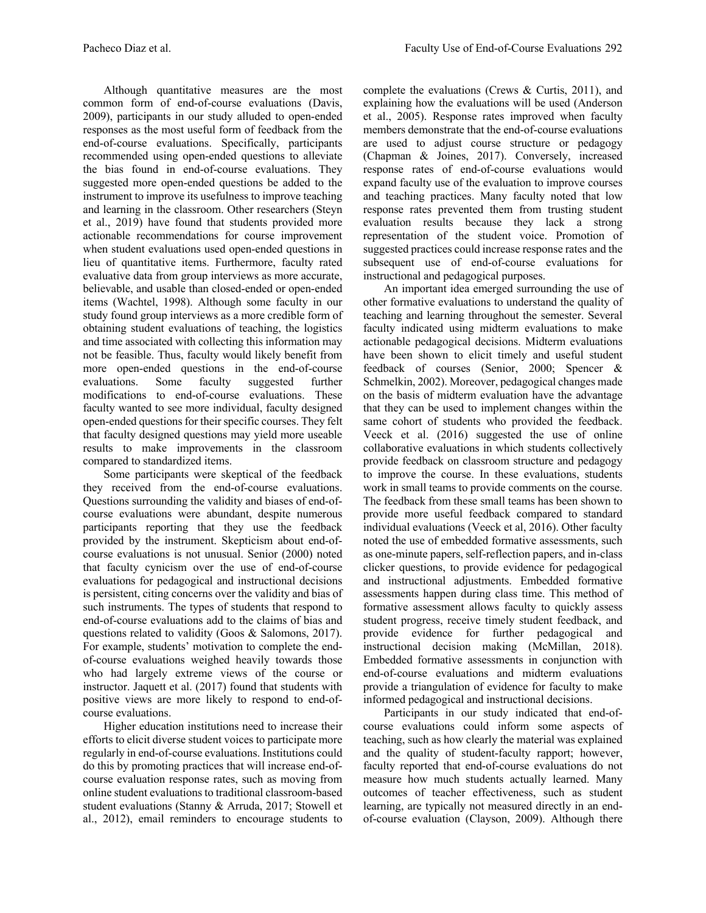Although quantitative measures are the most common form of end-of-course evaluations (Davis, 2009), participants in our study alluded to open-ended responses as the most useful form of feedback from the end-of-course evaluations. Specifically, participants recommended using open-ended questions to alleviate the bias found in end-of-course evaluations. They suggested more open-ended questions be added to the instrument to improve its usefulness to improve teaching and learning in the classroom. Other researchers (Steyn et al., 2019) have found that students provided more actionable recommendations for course improvement when student evaluations used open-ended questions in lieu of quantitative items. Furthermore, faculty rated evaluative data from group interviews as more accurate, believable, and usable than closed-ended or open-ended items (Wachtel, 1998). Although some faculty in our study found group interviews as a more credible form of obtaining student evaluations of teaching, the logistics and time associated with collecting this information may not be feasible. Thus, faculty would likely benefit from more open-ended questions in the end-of-course evaluations. Some faculty suggested further modifications to end-of-course evaluations. These faculty wanted to see more individual, faculty designed open-ended questions for their specific courses. They felt that faculty designed questions may yield more useable results to make improvements in the classroom compared to standardized items.

Some participants were skeptical of the feedback they received from the end-of-course evaluations. Questions surrounding the validity and biases of end-ofcourse evaluations were abundant, despite numerous participants reporting that they use the feedback provided by the instrument. Skepticism about end-ofcourse evaluations is not unusual. Senior (2000) noted that faculty cynicism over the use of end-of-course evaluations for pedagogical and instructional decisions is persistent, citing concerns over the validity and bias of such instruments. The types of students that respond to end-of-course evaluations add to the claims of bias and questions related to validity (Goos & Salomons, 2017). For example, students' motivation to complete the endof-course evaluations weighed heavily towards those who had largely extreme views of the course or instructor. Jaquett et al. (2017) found that students with positive views are more likely to respond to end-ofcourse evaluations.

Higher education institutions need to increase their efforts to elicit diverse student voices to participate more regularly in end-of-course evaluations. Institutions could do this by promoting practices that will increase end-ofcourse evaluation response rates, such as moving from online student evaluations to traditional classroom-based student evaluations (Stanny & Arruda, 2017; Stowell et al., 2012), email reminders to encourage students to

complete the evaluations (Crews & Curtis, 2011), and explaining how the evaluations will be used (Anderson et al., 2005). Response rates improved when faculty members demonstrate that the end-of-course evaluations are used to adjust course structure or pedagogy (Chapman & Joines, 2017). Conversely, increased response rates of end-of-course evaluations would expand faculty use of the evaluation to improve courses and teaching practices. Many faculty noted that low response rates prevented them from trusting student evaluation results because they lack a strong representation of the student voice. Promotion of suggested practices could increase response rates and the subsequent use of end-of-course evaluations for instructional and pedagogical purposes.

An important idea emerged surrounding the use of other formative evaluations to understand the quality of teaching and learning throughout the semester. Several faculty indicated using midterm evaluations to make actionable pedagogical decisions. Midterm evaluations have been shown to elicit timely and useful student feedback of courses (Senior, 2000; Spencer & Schmelkin, 2002). Moreover, pedagogical changes made on the basis of midterm evaluation have the advantage that they can be used to implement changes within the same cohort of students who provided the feedback. Veeck et al. (2016) suggested the use of online collaborative evaluations in which students collectively provide feedback on classroom structure and pedagogy to improve the course. In these evaluations, students work in small teams to provide comments on the course. The feedback from these small teams has been shown to provide more useful feedback compared to standard individual evaluations (Veeck et al, 2016). Other faculty noted the use of embedded formative assessments, such as one-minute papers, self-reflection papers, and in-class clicker questions, to provide evidence for pedagogical and instructional adjustments. Embedded formative assessments happen during class time. This method of formative assessment allows faculty to quickly assess student progress, receive timely student feedback, and provide evidence for further pedagogical and instructional decision making (McMillan, 2018). Embedded formative assessments in conjunction with end-of-course evaluations and midterm evaluations provide a triangulation of evidence for faculty to make informed pedagogical and instructional decisions.

Participants in our study indicated that end-ofcourse evaluations could inform some aspects of teaching, such as how clearly the material was explained and the quality of student-faculty rapport; however, faculty reported that end-of-course evaluations do not measure how much students actually learned. Many outcomes of teacher effectiveness, such as student learning, are typically not measured directly in an endof-course evaluation (Clayson, 2009). Although there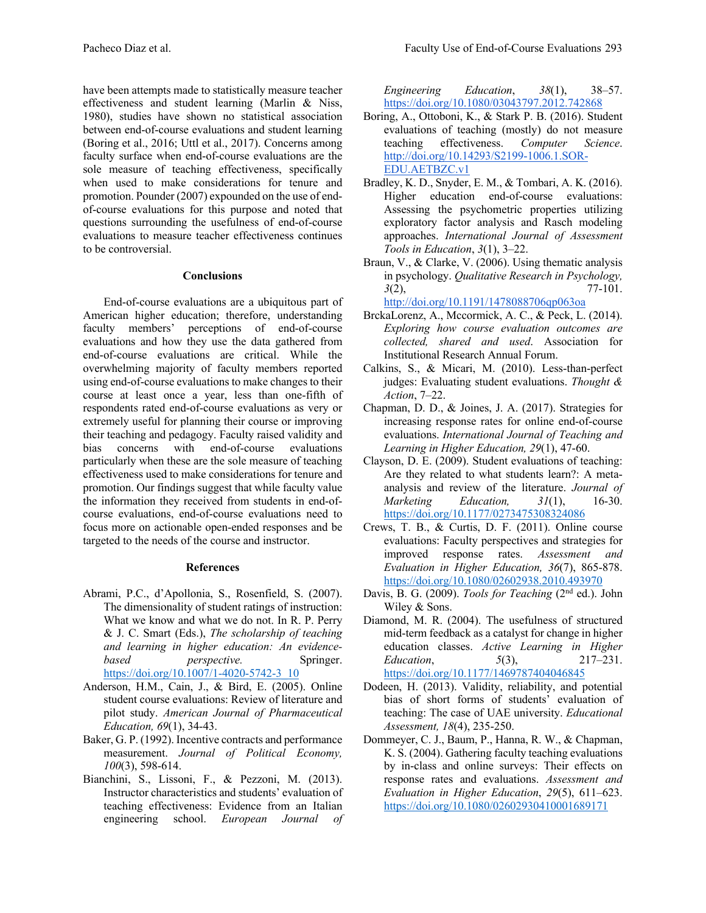have been attempts made to statistically measure teacher effectiveness and student learning (Marlin & Niss, 1980), studies have shown no statistical association between end-of-course evaluations and student learning (Boring et al., 2016; Uttl et al., 2017). Concerns among faculty surface when end-of-course evaluations are the sole measure of teaching effectiveness, specifically when used to make considerations for tenure and promotion. Pounder (2007) expounded on the use of endof-course evaluations for this purpose and noted that questions surrounding the usefulness of end-of-course evaluations to measure teacher effectiveness continues to be controversial.

# **Conclusions**

End-of-course evaluations are a ubiquitous part of American higher education; therefore, understanding faculty members' perceptions of end-of-course evaluations and how they use the data gathered from end-of-course evaluations are critical. While the overwhelming majority of faculty members reported using end-of-course evaluations to make changes to their course at least once a year, less than one-fifth of respondents rated end-of-course evaluations as very or extremely useful for planning their course or improving their teaching and pedagogy. Faculty raised validity and bias concerns with end-of-course evaluations particularly when these are the sole measure of teaching effectiveness used to make considerations for tenure and promotion. Our findings suggest that while faculty value the information they received from students in end-ofcourse evaluations, end-of-course evaluations need to focus more on actionable open-ended responses and be targeted to the needs of the course and instructor.

# **References**

- Abrami, P.C., d'Apollonia, S., Rosenfield, S. (2007). The dimensionality of student ratings of instruction: What we know and what we do not. In R. P. Perry & J. C. Smart (Eds.), *The scholarship of teaching and learning in higher education: An evidencebased perspective.* Springer. https://doi.org/10.1007/1-4020-5742-3\_10
- Anderson, H.M., Cain, J., & Bird, E. (2005). Online student course evaluations: Review of literature and pilot study. *American Journal of Pharmaceutical Education, 69*(1), 34-43.
- Baker, G. P. (1992). Incentive contracts and performance measurement. *Journal of Political Economy, 100*(3), 598-614.
- Bianchini, S., Lissoni, F., & Pezzoni, M. (2013). Instructor characteristics and students' evaluation of teaching effectiveness: Evidence from an Italian engineering school. *European Journal of*

*Engineering Education*, *38*(1), 38–57. https://doi.org/10.1080/03043797.2012.742868

- Boring, A., Ottoboni, K., & Stark P. B. (2016). Student evaluations of teaching (mostly) do not measure teaching effectiveness. *Computer Science*. http://doi.org/10.14293/S2199-1006.1.SOR-EDU.AETBZC.v1
- Bradley, K. D., Snyder, E. M., & Tombari, A. K. (2016). Higher education end-of-course evaluations: Assessing the psychometric properties utilizing exploratory factor analysis and Rasch modeling approaches. *International Journal of Assessment Tools in Education*, *3*(1), 3–22.
- Braun, V., & Clarke, V. (2006). Using thematic analysis in psychology. *Qualitative Research in Psychology, 3*(2), 77-101. http://doi.org/10.1191/1478088706qp063oa
- BrckaLorenz, A., Mccormick, A. C., & Peck, L. (2014). *Exploring how course evaluation outcomes are collected, shared and used*. Association for Institutional Research Annual Forum.
- Calkins, S., & Micari, M. (2010). Less-than-perfect judges: Evaluating student evaluations. *Thought & Action*, 7–22.
- Chapman, D. D., & Joines, J. A. (2017). Strategies for increasing response rates for online end-of-course evaluations. *International Journal of Teaching and Learning in Higher Education, 29*(1), 47-60.
- Clayson, D. E. (2009). Student evaluations of teaching: Are they related to what students learn?: A metaanalysis and review of the literature. *Journal of Marketing Education, 31*(1), 16-30. https://doi.org/10.1177/0273475308324086
- Crews, T. B., & Curtis, D. F. (2011). Online course evaluations: Faculty perspectives and strategies for improved response rates. *Assessment and Evaluation in Higher Education, 36*(7), 865-878. https://doi.org/10.1080/02602938.2010.493970
- Davis, B. G. (2009). *Tools for Teaching* (2<sup>nd</sup> ed.). John Wiley & Sons.
- Diamond, M. R. (2004). The usefulness of structured mid-term feedback as a catalyst for change in higher education classes. *Active Learning in Higher Education*, *5*(3), 217–231. https://doi.org/10.1177/1469787404046845
- Dodeen, H. (2013). Validity, reliability, and potential bias of short forms of students' evaluation of teaching: The case of UAE university. *Educational Assessment, 18*(4), 235-250.
- Dommeyer, C. J., Baum, P., Hanna, R. W., & Chapman, K. S. (2004). Gathering faculty teaching evaluations by in-class and online surveys: Their effects on response rates and evaluations. *Assessment and Evaluation in Higher Education*, *29*(5), 611–623. https://doi.org/10.1080/02602930410001689171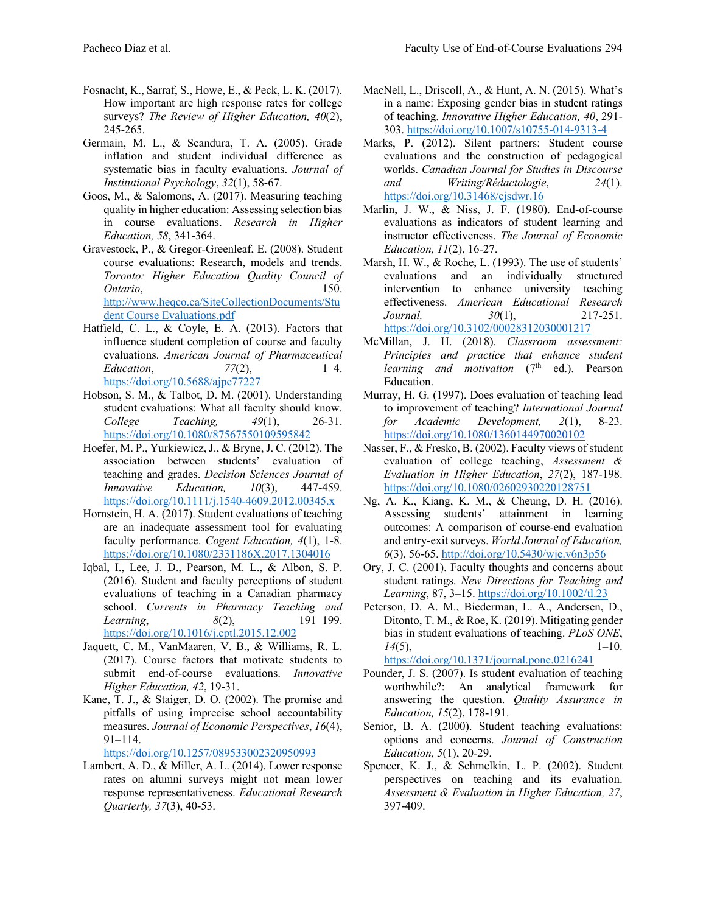- Fosnacht, K., Sarraf, S., Howe, E., & Peck, L. K. (2017). How important are high response rates for college surveys? *The Review of Higher Education, 40*(2), 245-265.
- Germain, M. L., & Scandura, T. A. (2005). Grade inflation and student individual difference as systematic bias in faculty evaluations. *Journal of Institutional Psychology*, *32*(1), 58-67.
- Goos, M., & Salomons, A. (2017). Measuring teaching quality in higher education: Assessing selection bias in course evaluations. *Research in Higher Education, 58*, 341-364.
- Gravestock, P., & Gregor-Greenleaf, E. (2008). Student course evaluations: Research, models and trends. *Toronto: Higher Education Quality Council of Ontario*, 150. http://www.heqco.ca/SiteCollectionDocuments/Stu dent Course Evaluations.pdf
- Hatfield, C. L., & Coyle, E. A. (2013). Factors that influence student completion of course and faculty evaluations. *American Journal of Pharmaceutical Education*, *77*(2), 1–4. https://doi.org/10.5688/ajpe77227
- Hobson, S. M., & Talbot, D. M. (2001). Understanding student evaluations: What all faculty should know. *College Teaching, 49*(1), 26-31. https://doi.org/10.1080/87567550109595842
- Hoefer, M. P., Yurkiewicz, J., & Bryne, J. C. (2012). The association between students' evaluation of teaching and grades. *Decision Sciences Journal of Innovative Education, 10*(3), 447-459. https://doi.org/10.1111/j.1540-4609.2012.00345.x
- Hornstein, H. A. (2017). Student evaluations of teaching are an inadequate assessment tool for evaluating faculty performance. *Cogent Education, 4*(1), 1-8. https://doi.org/10.1080/2331186X.2017.1304016
- Iqbal, I., Lee, J. D., Pearson, M. L., & Albon, S. P. (2016). Student and faculty perceptions of student evaluations of teaching in a Canadian pharmacy school. *Currents in Pharmacy Teaching and Learning*, *8*(2), 191–199. https://doi.org/10.1016/j.cptl.2015.12.002
- Jaquett, C. M., VanMaaren, V. B., & Williams, R. L. (2017). Course factors that motivate students to submit end-of-course evaluations. *Innovative Higher Education, 42*, 19-31.
- Kane, T. J., & Staiger, D. O. (2002). The promise and pitfalls of using imprecise school accountability measures. *Journal of Economic Perspectives*, *16*(4), 91–114.

https://doi.org/10.1257/089533002320950993

Lambert, A. D., & Miller, A. L. (2014). Lower response rates on alumni surveys might not mean lower response representativeness. *Educational Research Quarterly, 37*(3), 40-53.

- MacNell, L., Driscoll, A., & Hunt, A. N. (2015). What's in a name: Exposing gender bias in student ratings of teaching. *Innovative Higher Education, 40*, 291- 303. https://doi.org/10.1007/s10755-014-9313-4
- Marks, P. (2012). Silent partners: Student course evaluations and the construction of pedagogical worlds. *Canadian Journal for Studies in Discourse and Writing/Rédactologie*, *24*(1). https://doi.org/10.31468/cjsdwr.16
- Marlin, J. W., & Niss, J. F. (1980). End-of-course evaluations as indicators of student learning and instructor effectiveness. *The Journal of Economic Education, 11*(2), 16-27.
- Marsh, H. W., & Roche, L. (1993). The use of students' evaluations and an individually structured intervention to enhance university teaching effectiveness. *American Educational Research Journal, 30*(1), 217-251. https://doi.org/10.3102/00028312030001217
- McMillan, J. H. (2018). *Classroom assessment: Principles and practice that enhance student learning and motivation* (7<sup>th</sup> ed.). Pearson Education.
- Murray, H. G. (1997). Does evaluation of teaching lead to improvement of teaching? *International Journal for Academic Development, 2*(1), 8-23. https://doi.org/10.1080/1360144970020102
- Nasser, F., & Fresko, B. (2002). Faculty views of student evaluation of college teaching, *Assessment & Evaluation in Higher Education*, *27*(2), 187-198. https://doi.org/10.1080/02602930220128751
- Ng, A. K., Kiang, K. M., & Cheung, D. H. (2016). Assessing students' attainment in learning outcomes: A comparison of course-end evaluation and entry-exit surveys. *World Journal of Education, 6*(3), 56-65. http://doi.org/10.5430/wje.v6n3p56
- Ory, J. C. (2001). Faculty thoughts and concerns about student ratings. *New Directions for Teaching and Learning*, 87, 3–15. https://doi.org/10.1002/tl.23
- Peterson, D. A. M., Biederman, L. A., Andersen, D., Ditonto, T. M., & Roe, K. (2019). Mitigating gender bias in student evaluations of teaching. *PLoS ONE*, *14*(5), 1–10. https://doi.org/10.1371/journal.pone.0216241

Pounder, J. S. (2007). Is student evaluation of teaching worthwhile?: An analytical framework for answering the question. *Quality Assurance in Education, 15*(2), 178-191.

- Senior, B. A. (2000). Student teaching evaluations: options and concerns. *Journal of Construction Education, 5*(1), 20-29.
- Spencer, K. J., & Schmelkin, L. P. (2002). Student perspectives on teaching and its evaluation. *Assessment & Evaluation in Higher Education, 27*, 397-409.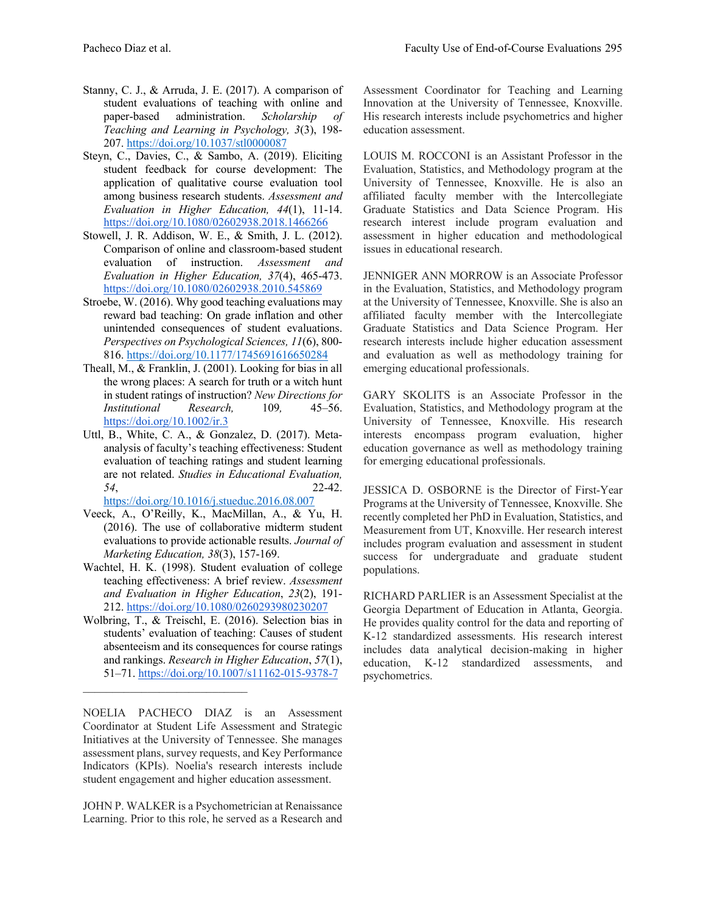- Stanny, C. J., & Arruda, J. E. (2017). A comparison of student evaluations of teaching with online and paper-based administration. *Scholarship of Teaching and Learning in Psychology, 3*(3), 198- 207. https://doi.org/10.1037/stl0000087
- Steyn, C., Davies, C., & Sambo, A. (2019). Eliciting student feedback for course development: The application of qualitative course evaluation tool among business research students. *Assessment and Evaluation in Higher Education, 44*(1), 11-14. https://doi.org/10.1080/02602938.2018.1466266
- Stowell, J. R. Addison, W. E., & Smith, J. L. (2012). Comparison of online and classroom-based student evaluation of instruction. *Assessment and Evaluation in Higher Education, 37*(4), 465-473. https://doi.org/10.1080/02602938.2010.545869
- Stroebe, W. (2016). Why good teaching evaluations may reward bad teaching: On grade inflation and other unintended consequences of student evaluations. *Perspectives on Psychological Sciences, 11*(6), 800- 816. https://doi.org/10.1177/1745691616650284
- Theall, M., & Franklin, J. (2001). Looking for bias in all the wrong places: A search for truth or a witch hunt in student ratings of instruction? *New Directions for Institutional Research,* 109*,* 45–56. https://doi.org/10.1002/ir.3
- Uttl, B., White, C. A., & Gonzalez, D. (2017). Metaanalysis of faculty's teaching effectiveness: Student evaluation of teaching ratings and student learning are not related. *Studies in Educational Evaluation, 54*, 22-42.

https://doi.org/10.1016/j.stueduc.2016.08.007

- Veeck, A., O'Reilly, K., MacMillan, A., & Yu, H. (2016). The use of collaborative midterm student evaluations to provide actionable results. *Journal of Marketing Education, 38*(3), 157-169.
- Wachtel, H. K. (1998). Student evaluation of college teaching effectiveness: A brief review. *Assessment and Evaluation in Higher Education*, *23*(2), 191- 212. https://doi.org/10.1080/0260293980230207
- Wolbring, T., & Treischl, E. (2016). Selection bias in students' evaluation of teaching: Causes of student absenteeism and its consequences for course ratings and rankings. *Research in Higher Education*, *57*(1), 51–71. https://doi.org/10.1007/s11162-015-9378-7

 $\mathcal{L}_\text{max}$  and  $\mathcal{L}_\text{max}$  and  $\mathcal{L}_\text{max}$  and  $\mathcal{L}_\text{max}$ 

NOELIA PACHECO DIAZ is an Assessment Coordinator at Student Life Assessment and Strategic Initiatives at the University of Tennessee. She manages assessment plans, survey requests, and Key Performance Indicators (KPIs). Noelia's research interests include student engagement and higher education assessment.

JOHN P. WALKER is a Psychometrician at Renaissance Learning. Prior to this role, he served as a Research and

Assessment Coordinator for Teaching and Learning Innovation at the University of Tennessee, Knoxville. His research interests include psychometrics and higher education assessment.

LOUIS M. ROCCONI is an Assistant Professor in the Evaluation, Statistics, and Methodology program at the University of Tennessee, Knoxville. He is also an affiliated faculty member with the Intercollegiate Graduate Statistics and Data Science Program. His research interest include program evaluation and assessment in higher education and methodological issues in educational research.

JENNIGER ANN MORROW is an Associate Professor in the Evaluation, Statistics, and Methodology program at the University of Tennessee, Knoxville. She is also an affiliated faculty member with the Intercollegiate Graduate Statistics and Data Science Program. Her research interests include higher education assessment and evaluation as well as methodology training for emerging educational professionals.

GARY SKOLITS is an Associate Professor in the Evaluation, Statistics, and Methodology program at the University of Tennessee, Knoxville. His research interests encompass program evaluation, higher education governance as well as methodology training for emerging educational professionals.

JESSICA D. OSBORNE is the Director of First-Year Programs at the University of Tennessee, Knoxville. She recently completed her PhD in Evaluation, Statistics, and Measurement from UT, Knoxville. Her research interest includes program evaluation and assessment in student success for undergraduate and graduate student populations.

RICHARD PARLIER is an Assessment Specialist at the Georgia Department of Education in Atlanta, Georgia. He provides quality control for the data and reporting of K-12 standardized assessments. His research interest includes data analytical decision-making in higher education, K-12 standardized assessments, and psychometrics.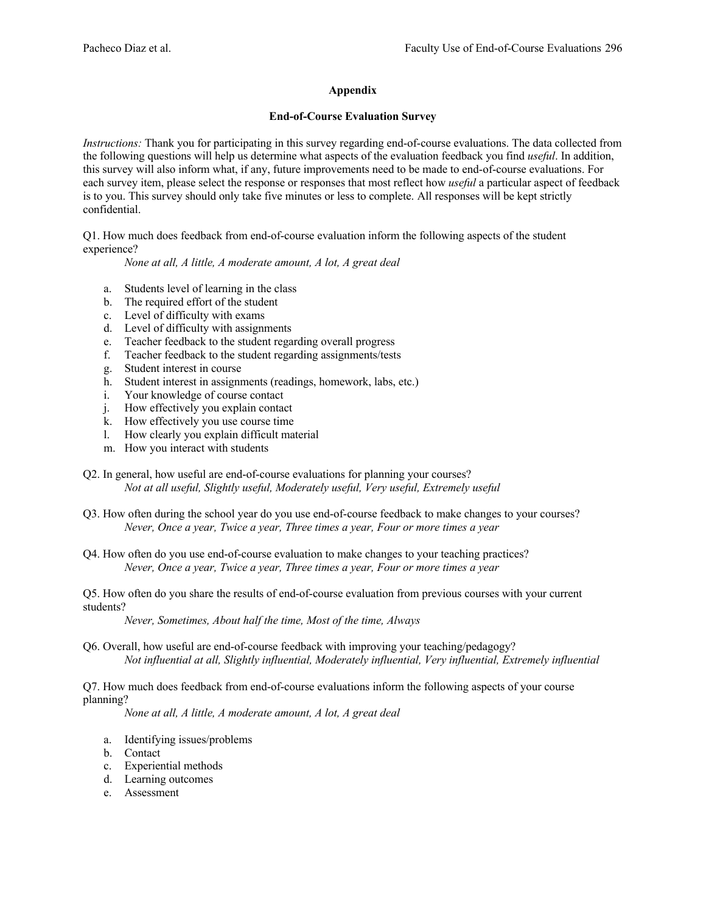# **Appendix**

## **End-of-Course Evaluation Survey**

*Instructions:* Thank you for participating in this survey regarding end-of-course evaluations. The data collected from the following questions will help us determine what aspects of the evaluation feedback you find *useful*. In addition, this survey will also inform what, if any, future improvements need to be made to end-of-course evaluations. For each survey item, please select the response or responses that most reflect how *useful* a particular aspect of feedback is to you. This survey should only take five minutes or less to complete. All responses will be kept strictly confidential.

Q1. How much does feedback from end-of-course evaluation inform the following aspects of the student experience?

*None at all, A little, A moderate amount, A lot, A great deal*

- a. Students level of learning in the class
- b. The required effort of the student
- c. Level of difficulty with exams
- d. Level of difficulty with assignments
- e. Teacher feedback to the student regarding overall progress
- f. Teacher feedback to the student regarding assignments/tests
- g. Student interest in course
- h. Student interest in assignments (readings, homework, labs, etc.)
- i. Your knowledge of course contact
- j. How effectively you explain contact
- k. How effectively you use course time
- l. How clearly you explain difficult material
- m. How you interact with students
- Q2. In general, how useful are end-of-course evaluations for planning your courses? *Not at all useful, Slightly useful, Moderately useful, Very useful, Extremely useful*
- Q3. How often during the school year do you use end-of-course feedback to make changes to your courses? *Never, Once a year, Twice a year, Three times a year, Four or more times a year*

Q4. How often do you use end-of-course evaluation to make changes to your teaching practices? *Never, Once a year, Twice a year, Three times a year, Four or more times a year*

Q5. How often do you share the results of end-of-course evaluation from previous courses with your current students?

*Never, Sometimes, About half the time, Most of the time, Always*

Q6. Overall, how useful are end-of-course feedback with improving your teaching/pedagogy? *Not influential at all, Slightly influential, Moderately influential, Very influential, Extremely influential*

Q7. How much does feedback from end-of-course evaluations inform the following aspects of your course planning?

*None at all, A little, A moderate amount, A lot, A great deal*

- a. Identifying issues/problems
- b. Contact
- c. Experiential methods
- d. Learning outcomes
- e. Assessment